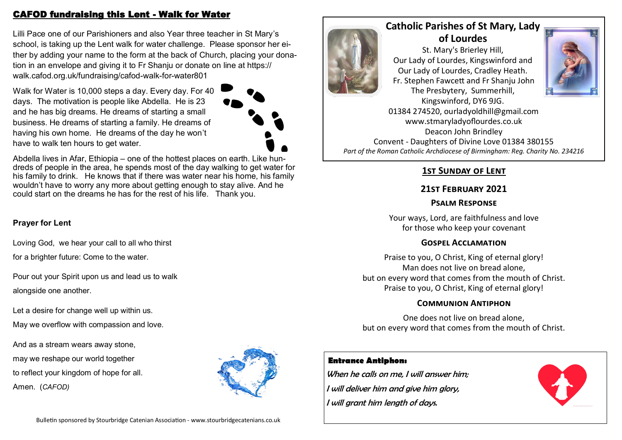### CAFOD fundraising this Lent - Walk for Water

Lilli Pace one of our Parishioners and also Year three teacher in St Mary's school, is taking up the Lent walk for water challenge. Please sponsor her either by adding your name to the form at the back of Church, placing your donation in an envelope and giving it to Fr Shaniu or donate on line at https:// walk.cafod.org.uk/fundraising/cafod-walk-for-water801

Walk for Water is 10,000 steps a day. Every day. For 40 days. The motivation is people like Abdella. He is 23 and he has big dreams. He dreams of starting a small business. He dreams of starting a family. He dreams of having his own home. He dreams of the day he won't have to walk ten hours to get water.



Abdella lives in Afar, Ethiopia – one of the hottest places on earth. Like hundreds of people in the area, he spends most of the day walking to get water for his family to drink. He knows that if there was water near his home, his family wouldn't have to worry any more about getting enough to stay alive. And he could start on the dreams he has for the rest of his life. Thank you.

### **Prayer for Lent**

Loving God, we hear your call to all who thirst

for a brighter future: Come to the water.

Pour out your Spirit upon us and lead us to walk alongside one another.

Let a desire for change well up within us. May we overflow with compassion and love.

And as a stream wears away stone, may we reshape our world together to reflect your kingdom of hope for all. Amen. (*CAFOD)*





# **Catholic Parishes of St Mary, Lady of Lourdes**

St. Mary's Brierley Hill, Our Lady of Lourdes, Kingswinford and Our Lady of Lourdes, Cradley Heath. Fr. Stephen Fawcett and Fr Shanju John The Presbytery, Summerhill,



Kingswinford, DY6 9JG. 01384 274520, ourladyoldhill@gmail.com www.stmaryladyoflourdes.co.uk Deacon John Brindley Convent - Daughters of Divine Love 01384 380155 *Part of the Roman Catholic Archdiocese of Birmingham: Reg. Charity No. 234216*

## **1st Sunday of Lent**

### **21st February 2021**

### **Psalm Response**

Your ways, Lord, are faithfulness and love for those who keep your covenant

#### **Gospel Acclamation**

Praise to you, O Christ, King of eternal glory! Man does not live on bread alone, but on every word that comes from the mouth of Christ. Praise to you, O Christ, King of eternal glory!

### **Communion Antiphon**

One does not live on bread alone, but on every word that comes from the mouth of Christ.

### **Entrance Antiphon:**

When he calls on me, I will answer him: I will deliver him and give him glory, I will grant him length of days.